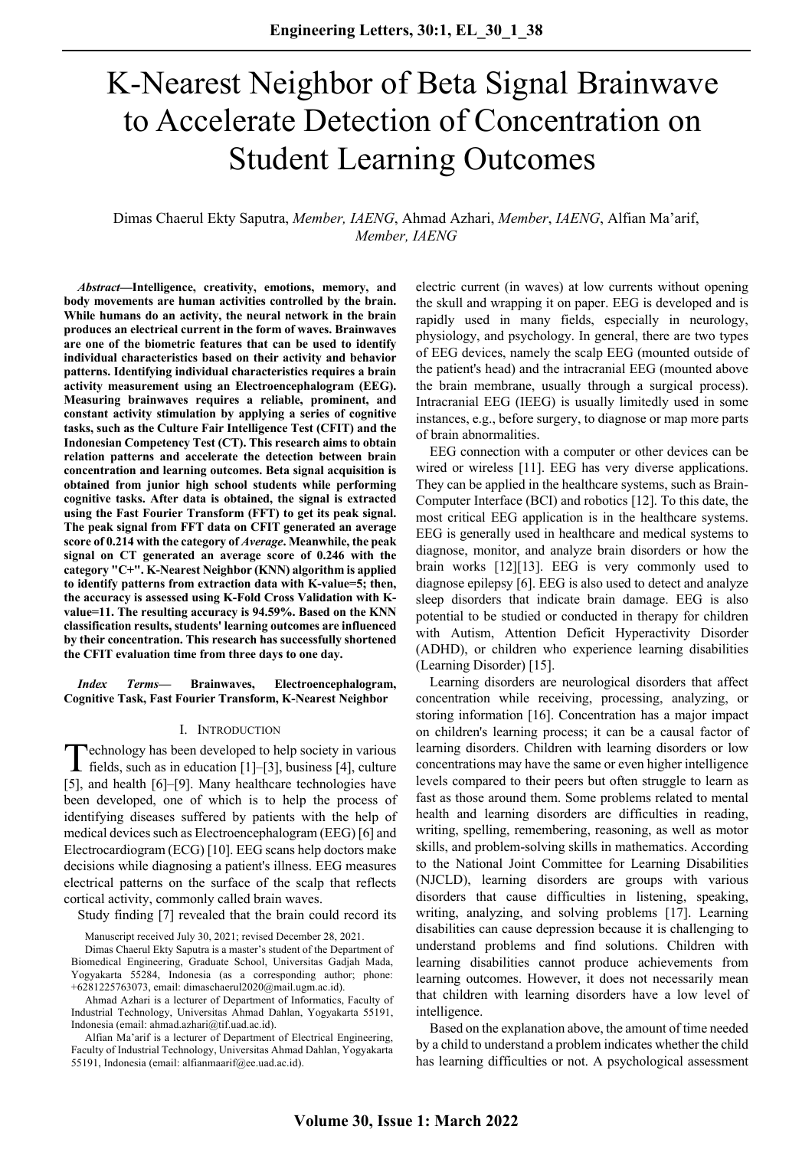# K-Nearest Neighbor of Beta Signal Brainwave to Accelerate Detection of Concentration on Student Learning Outcomes

Dimas Chaerul Ekty Saputra, *Member, IAENG*, Ahmad Azhari, *Member*, *IAENG*, Alfian Ma'arif, *Member, IAENG*

*Abstract***—Intelligence, creativity, emotions, memory, and body movements are human activities controlled by the brain. While humans do an activity, the neural network in the brain produces an electrical current in the form of waves. Brainwaves are one of the biometric features that can be used to identify individual characteristics based on their activity and behavior patterns. Identifying individual characteristics requires a brain activity measurement using an Electroencephalogram (EEG). Measuring brainwaves requires a reliable, prominent, and constant activity stimulation by applying a series of cognitive tasks, such as the Culture Fair Intelligence Test (CFIT) and the Indonesian Competency Test (CT). This research aims to obtain relation patterns and accelerate the detection between brain concentration and learning outcomes. Beta signal acquisition is obtained from junior high school students while performing cognitive tasks. After data is obtained, the signal is extracted using the Fast Fourier Transform (FFT) to get its peak signal. The peak signal from FFT data on CFIT generated an average score of 0.214 with the category of** *Average***. Meanwhile, the peak signal on CT generated an average score of 0.246 with the category "C+". K-Nearest Neighbor (KNN) algorithm is applied to identify patterns from extraction data with K-value=5; then, the accuracy is assessed using K-Fold Cross Validation with Kvalue=11. The resulting accuracy is 94.59%. Based on the KNN classification results, students' learning outcomes are influenced by their concentration. This research has successfully shortened the CFIT evaluation time from three days to one day.**

*Index Terms***— Brainwaves, Electroencephalogram, Cognitive Task, Fast Fourier Transform, K-Nearest Neighbor**

## I. INTRODUCTION

echnology has been developed to help society in various Technology has been developed to help society in various<br>fields, such as in education [1]–[3], business [4], culture [5], and health [6]–[9]. Many healthcare technologies have been developed, one of which is to help the process of identifying diseases suffered by patients with the help of medical devices such as Electroencephalogram (EEG) [6] and Electrocardiogram (ECG) [10]. EEG scans help doctors make decisions while diagnosing a patient's illness. EEG measures electrical patterns on the surface of the scalp that reflects cortical activity, commonly called brain waves.

Study finding [7] revealed that the brain could record its

Ahmad Azhari is a lecturer of Department of Informatics, Faculty of Industrial Technology, Universitas Ahmad Dahlan, Yogyakarta 55191, Indonesia (email: ahmad.azhari@tif.uad.ac.id).

Alfian Ma'arif is a lecturer of Department of Electrical Engineering, Faculty of Industrial Technology, Universitas Ahmad Dahlan, Yogyakarta 55191, Indonesia (email: alfianmaarif@ee.uad.ac.id).

electric current (in waves) at low currents without opening the skull and wrapping it on paper. EEG is developed and is rapidly used in many fields, especially in neurology, physiology, and psychology. In general, there are two types of EEG devices, namely the scalp EEG (mounted outside of the patient's head) and the intracranial EEG (mounted above the brain membrane, usually through a surgical process). Intracranial EEG (IEEG) is usually limitedly used in some instances, e.g., before surgery, to diagnose or map more parts of brain abnormalities.

EEG connection with a computer or other devices can be wired or wireless [11]. EEG has very diverse applications. They can be applied in the healthcare systems, such as Brain-Computer Interface (BCI) and robotics [12]. To this date, the most critical EEG application is in the healthcare systems. EEG is generally used in healthcare and medical systems to diagnose, monitor, and analyze brain disorders or how the brain works [12][13]. EEG is very commonly used to diagnose epilepsy [6]. EEG is also used to detect and analyze sleep disorders that indicate brain damage. EEG is also potential to be studied or conducted in therapy for children with Autism, Attention Deficit Hyperactivity Disorder (ADHD), or children who experience learning disabilities (Learning Disorder) [15].

Learning disorders are neurological disorders that affect concentration while receiving, processing, analyzing, or storing information [16]. Concentration has a major impact on children's learning process; it can be a causal factor of learning disorders. Children with learning disorders or low concentrations may have the same or even higher intelligence levels compared to their peers but often struggle to learn as fast as those around them. Some problems related to mental health and learning disorders are difficulties in reading, writing, spelling, remembering, reasoning, as well as motor skills, and problem-solving skills in mathematics. According to the National Joint Committee for Learning Disabilities (NJCLD), learning disorders are groups with various disorders that cause difficulties in listening, speaking, writing, analyzing, and solving problems [17]. Learning disabilities can cause depression because it is challenging to understand problems and find solutions. Children with learning disabilities cannot produce achievements from learning outcomes. However, it does not necessarily mean that children with learning disorders have a low level of intelligence.

Based on the explanation above, the amount of time needed by a child to understand a problem indicates whether the child has learning difficulties or not. A psychological assessment

Manuscript received July 30, 2021; revised December 28, 2021.

Dimas Chaerul Ekty Saputra is a master's student of the Department of Biomedical Engineering, Graduate School, Universitas Gadjah Mada, Yogyakarta 55284, Indonesia (as a corresponding author; phone: +6281225763073, email: dimaschaerul2020@mail.ugm.ac.id).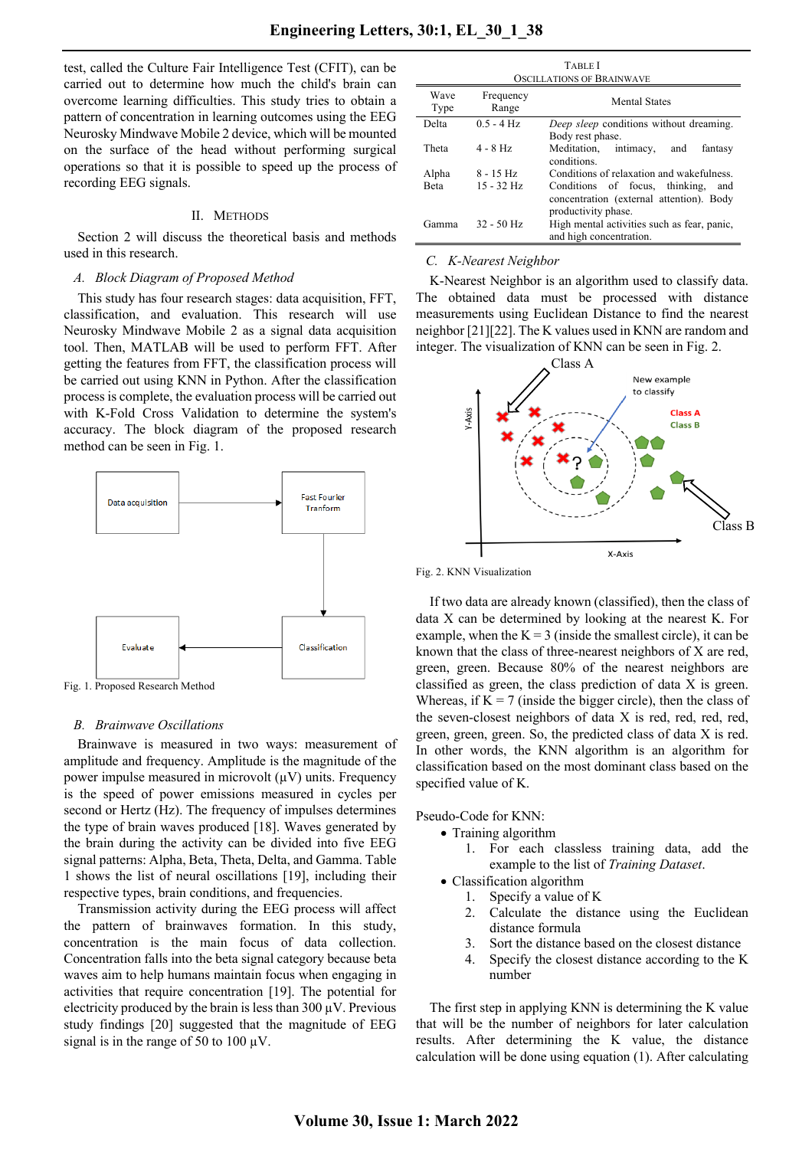test, called the Culture Fair Intelligence Test (CFIT), can be carried out to determine how much the child's brain can overcome learning difficulties. This study tries to obtain a pattern of concentration in learning outcomes using the EEG Neurosky Mindwave Mobile 2 device, which will be mounted on the surface of the head without performing surgical operations so that it is possible to speed up the process of recording EEG signals.

## II. METHODS

Section 2 will discuss the theoretical basis and methods used in this research.

## *A. Block Diagram of Proposed Method*

This study has four research stages: data acquisition, FFT, classification, and evaluation. This research will use Neurosky Mindwave Mobile 2 as a signal data acquisition tool. Then, MATLAB will be used to perform FFT. After getting the features from FFT, the classification process will be carried out using KNN in Python. After the classification process is complete, the evaluation process will be carried out with K-Fold Cross Validation to determine the system's accuracy. The block diagram of the proposed research method can be seen in Fig. 1.



Fig. 1. Proposed Research Method

### *B. Brainwave Oscillations*

Brainwave is measured in two ways: measurement of amplitude and frequency. Amplitude is the magnitude of the power impulse measured in microvolt  $(uV)$  units. Frequency is the speed of power emissions measured in cycles per second or Hertz (Hz). The frequency of impulses determines the type of brain waves produced [18]. Waves generated by the brain during the activity can be divided into five EEG signal patterns: Alpha, Beta, Theta, Delta, and Gamma. Table 1 shows the list of neural oscillations [19], including their respective types, brain conditions, and frequencies.

Transmission activity during the EEG process will affect the pattern of brainwaves formation. In this study, concentration is the main focus of data collection. Concentration falls into the beta signal category because beta waves aim to help humans maintain focus when engaging in activities that require concentration [19]. The potential for electricity produced by the brain is less than  $300 \mu V$ . Previous study findings [20] suggested that the magnitude of EEG signal is in the range of 50 to 100  $\mu$ V.

| <b>TABLE I</b><br><b>OSCILLATIONS OF BRAINWAVE</b> |                    |                                                                                                          |  |  |
|----------------------------------------------------|--------------------|----------------------------------------------------------------------------------------------------------|--|--|
| Wave<br>Type                                       | Frequency<br>Range | <b>Mental States</b>                                                                                     |  |  |
| Delta                                              | $0.5 - 4$ Hz       | Deep sleep conditions without dreaming.                                                                  |  |  |
|                                                    |                    | Body rest phase.                                                                                         |  |  |
| Theta                                              | $4 - 8$ Hz         | Meditation, intimacy,<br>and<br>fantasy<br>conditions.                                                   |  |  |
| Alpha                                              | $8 - 15$ Hz        | Conditions of relaxation and wakefulness.                                                                |  |  |
| <b>Beta</b>                                        | $15 - 32$ Hz       | Conditions of focus, thinking,<br>and<br>concentration (external attention). Body<br>productivity phase. |  |  |
| Gamma                                              | $32 - 50$ Hz       | High mental activities such as fear, panic,<br>and high concentration.                                   |  |  |

### *C. K-Nearest Neighbor*

K-Nearest Neighbor is an algorithm used to classify data. The obtained data must be processed with distance measurements using Euclidean Distance to find the nearest neighbor [21][22]. The K values used in KNN are random and integer. The visualization of KNN can be seen in Fig. 2.



Fig. 2. KNN Visualization

If two data are already known (classified), then the class of data X can be determined by looking at the nearest K. For example, when the  $K = 3$  (inside the smallest circle), it can be known that the class of three-nearest neighbors of X are red, green, green. Because 80% of the nearest neighbors are classified as green, the class prediction of data X is green. Whereas, if  $K = 7$  (inside the bigger circle), then the class of the seven-closest neighbors of data X is red, red, red, red, green, green, green. So, the predicted class of data X is red. In other words, the KNN algorithm is an algorithm for classification based on the most dominant class based on the specified value of K.

Pseudo-Code for KNN:

- Training algorithm
	- 1. For each classless training data, add the example to the list of *Training Dataset*.
- Classification algorithm
	- 1. Specify a value of K
	- 2. Calculate the distance using the Euclidean distance formula
	- 3. Sort the distance based on the closest distance
	- 4. Specify the closest distance according to the K number

The first step in applying KNN is determining the K value that will be the number of neighbors for later calculation results. After determining the K value, the distance calculation will be done using equation (1). After calculating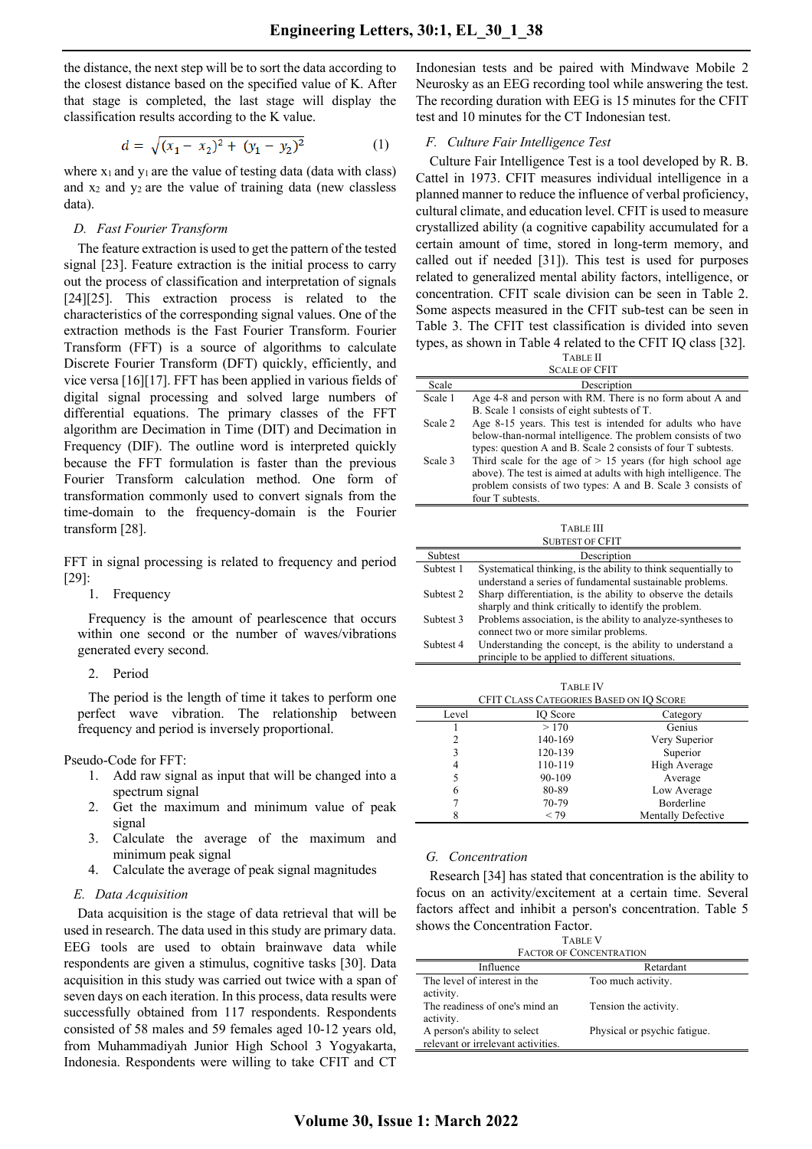the distance, the next step will be to sort the data according to the closest distance based on the specified value of K. After that stage is completed, the last stage will display the classification results according to the K value.

$$
d = \sqrt{(x_1 - x_2)^2 + (y_1 - y_2)^2} \tag{1}
$$

where  $x_1$  and  $y_1$  are the value of testing data (data with class) and  $x_2$  and  $y_2$  are the value of training data (new classless data).

## *D. Fast Fourier Transform*

The feature extraction is used to get the pattern of the tested signal [23]. Feature extraction is the initial process to carry out the process of classification and interpretation of signals [24][25]. This extraction process is related to the characteristics of the corresponding signal values. One of the extraction methods is the Fast Fourier Transform. Fourier Transform (FFT) is a source of algorithms to calculate Discrete Fourier Transform (DFT) quickly, efficiently, and vice versa [16][17]. FFT has been applied in various fields of digital signal processing and solved large numbers of differential equations. The primary classes of the FFT algorithm are Decimation in Time (DIT) and Decimation in Frequency (DIF). The outline word is interpreted quickly because the FFT formulation is faster than the previous Fourier Transform calculation method. One form of transformation commonly used to convert signals from the time-domain to the frequency-domain is the Fourier transform [28].

FFT in signal processing is related to frequency and period [29]:

## 1. Frequency

Frequency is the amount of pearlescence that occurs within one second or the number of waves/vibrations generated every second.

2. Period

The period is the length of time it takes to perform one perfect wave vibration. The relationship between frequency and period is inversely proportional.

#### Pseudo-Code for FFT:

- 1. Add raw signal as input that will be changed into a spectrum signal
- 2. Get the maximum and minimum value of peak signal
- 3. Calculate the average of the maximum and minimum peak signal
- 4. Calculate the average of peak signal magnitudes

#### *E. Data Acquisition*

Data acquisition is the stage of data retrieval that will be used in research. The data used in this study are primary data. EEG tools are used to obtain brainwave data while respondents are given a stimulus, cognitive tasks [30]. Data acquisition in this study was carried out twice with a span of seven days on each iteration. In this process, data results were successfully obtained from 117 respondents. Respondents consisted of 58 males and 59 females aged 10-12 years old, from Muhammadiyah Junior High School 3 Yogyakarta, Indonesia. Respondents were willing to take CFIT and CT

Indonesian tests and be paired with Mindwave Mobile 2 Neurosky as an EEG recording tool while answering the test. The recording duration with EEG is 15 minutes for the CFIT test and 10 minutes for the CT Indonesian test.

## *F. Culture Fair Intelligence Test*

four T subtests.

Culture Fair Intelligence Test is a tool developed by R. B. Cattel in 1973. CFIT measures individual intelligence in a planned manner to reduce the influence of verbal proficiency, cultural climate, and education level. CFIT is used to measure crystallized ability (a cognitive capability accumulated for a certain amount of time, stored in long-term memory, and called out if needed [31]). This test is used for purposes related to generalized mental ability factors, intelligence, or concentration. CFIT scale division can be seen in Table 2. Some aspects measured in the CFIT sub-test can be seen in Table 3. The CFIT test classification is divided into seven types, as shown in Table 4 related to the CFIT IQ class [32].

|         | <b>TABLE II</b>                                                 |
|---------|-----------------------------------------------------------------|
|         | <b>SCALE OF CFIT</b>                                            |
| Scale   | Description                                                     |
| Scale 1 | Age 4-8 and person with RM. There is no form about A and        |
|         | B. Scale 1 consists of eight subtests of T.                     |
| Scale 2 | Age 8-15 years. This test is intended for adults who have       |
|         | below-than-normal intelligence. The problem consists of two     |
|         | types: question A and B. Scale 2 consists of four T subtests.   |
| Scale 3 | Third scale for the age of $> 15$ years (for high school age    |
|         | above). The test is aimed at adults with high intelligence. The |
|         | problem consists of two types: A and B. Scale 3 consists of     |

|                        | <b>TABLE III</b>                                               |  |  |  |
|------------------------|----------------------------------------------------------------|--|--|--|
|                        |                                                                |  |  |  |
| <b>SUBTEST OF CFIT</b> |                                                                |  |  |  |
| <b>Subtest</b>         | Description                                                    |  |  |  |
| Subtest 1              | Systematical thinking, is the ability to think sequentially to |  |  |  |
|                        | understand a series of fundamental sustainable problems.       |  |  |  |
| Subtest 2              | Sharp differentiation, is the ability to observe the details   |  |  |  |
|                        | sharply and think critically to identify the problem.          |  |  |  |
| Subtest 3              | Problems association, is the ability to analyze-syntheses to   |  |  |  |
|                        | connect two or more similar problems.                          |  |  |  |
| Subtest 4              | Understanding the concept, is the ability to understand a      |  |  |  |
|                        | principle to be applied to different situations.               |  |  |  |

TABLE IV CFIT CLASS CATEGORIES BASED ON IQ SCORE Level IQ Score Category  $1 > 170$  Genius 2 140-169 Very Superior 3 120-139 Superior 4 110-119 High Average 5 90-109 Average 6 80-89 Low Average 7 70-79 Borderline 8 < 79 Mentally Defective

## *G. Concentration*

Research [34] has stated that concentration is the ability to focus on an activity/excitement at a certain time. Several factors affect and inhibit a person's concentration. Table 5 shows the Concentration Factor.

TABLE V FACTOR OF CONCENTRATION

| FACTOR OF CONCENTRATION            |                              |  |  |
|------------------------------------|------------------------------|--|--|
| Influence                          | Retardant                    |  |  |
| The level of interest in the       | Too much activity.           |  |  |
| activity.                          |                              |  |  |
| The readiness of one's mind an     | Tension the activity.        |  |  |
| activity.                          |                              |  |  |
| A person's ability to select       | Physical or psychic fatigue. |  |  |
| relevant or irrelevant activities. |                              |  |  |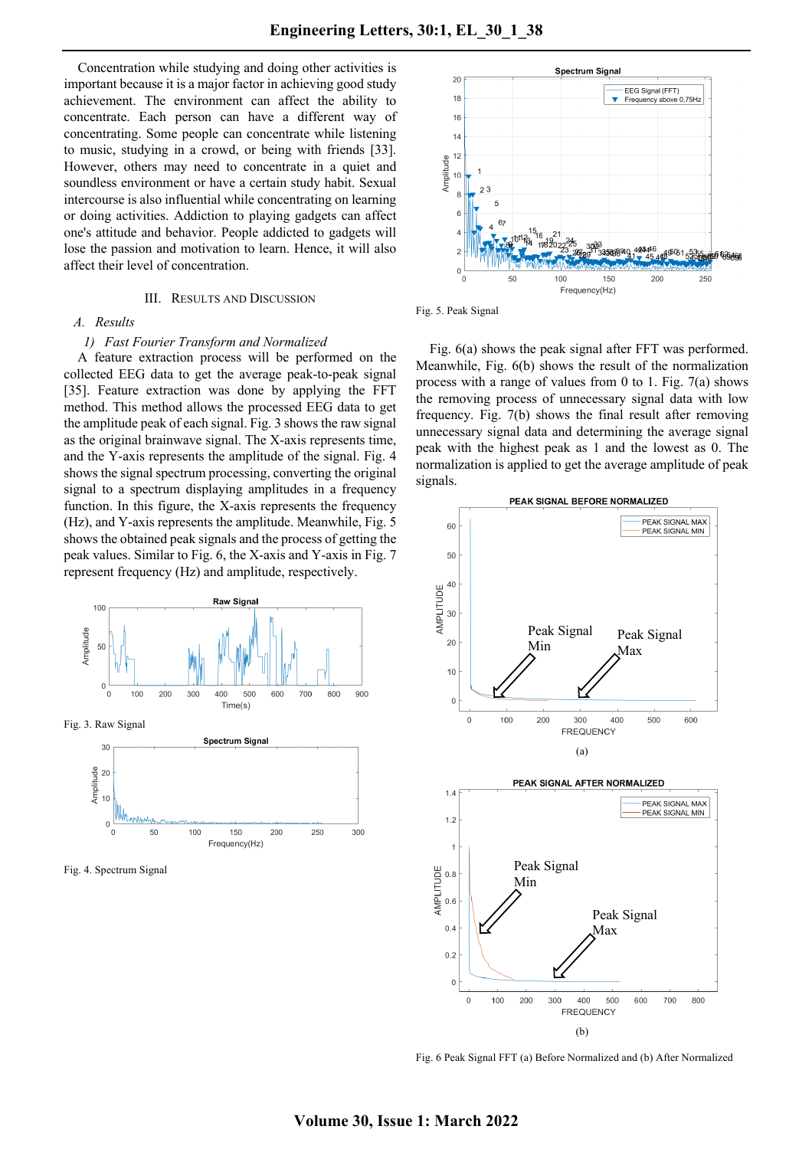Concentration while studying and doing other activities is important because it is a major factor in achieving good study achievement. The environment can affect the ability to concentrate. Each person can have a different way of concentrating. Some people can concentrate while listening to music, studying in a crowd, or being with friends [33]. However, others may need to concentrate in a quiet and soundless environment or have a certain study habit. Sexual intercourse is also influential while concentrating on learning or doing activities. Addiction to playing gadgets can affect one's attitude and behavior. People addicted to gadgets will lose the passion and motivation to learn. Hence, it will also affect their level of concentration.

### III. RESULTS AND DISCUSSION

## *A. Results*

#### *1) Fast Fourier Transform and Normalized*

A feature extraction process will be performed on the collected EEG data to get the average peak-to-peak signal [35]. Feature extraction was done by applying the FFT method. This method allows the processed EEG data to get the amplitude peak of each signal. Fig. 3 shows the raw signal as the original brainwave signal. The X-axis represents time, and the Y-axis represents the amplitude of the signal. Fig. 4 shows the signal spectrum processing, converting the original signal to a spectrum displaying amplitudes in a frequency function. In this figure, the X-axis represents the frequency (Hz), and Y-axis represents the amplitude. Meanwhile, Fig. 5 shows the obtained peak signals and the process of getting the peak values. Similar to Fig. 6, the X-axis and Y-axis in Fig. 7 represent frequency (Hz) and amplitude, respectively.



Fig. 4. Spectrum Signal



Fig. 5. Peak Signal

Fig. 6(a) shows the peak signal after FFT was performed. Meanwhile, Fig. 6(b) shows the result of the normalization process with a range of values from 0 to 1. Fig. 7(a) shows the removing process of unnecessary signal data with low frequency. Fig. 7(b) shows the final result after removing unnecessary signal data and determining the average signal peak with the highest peak as 1 and the lowest as 0. The normalization is applied to get the average amplitude of peak signals.



Fig. 6 Peak Signal FFT (a) Before Normalized and (b) After Normalized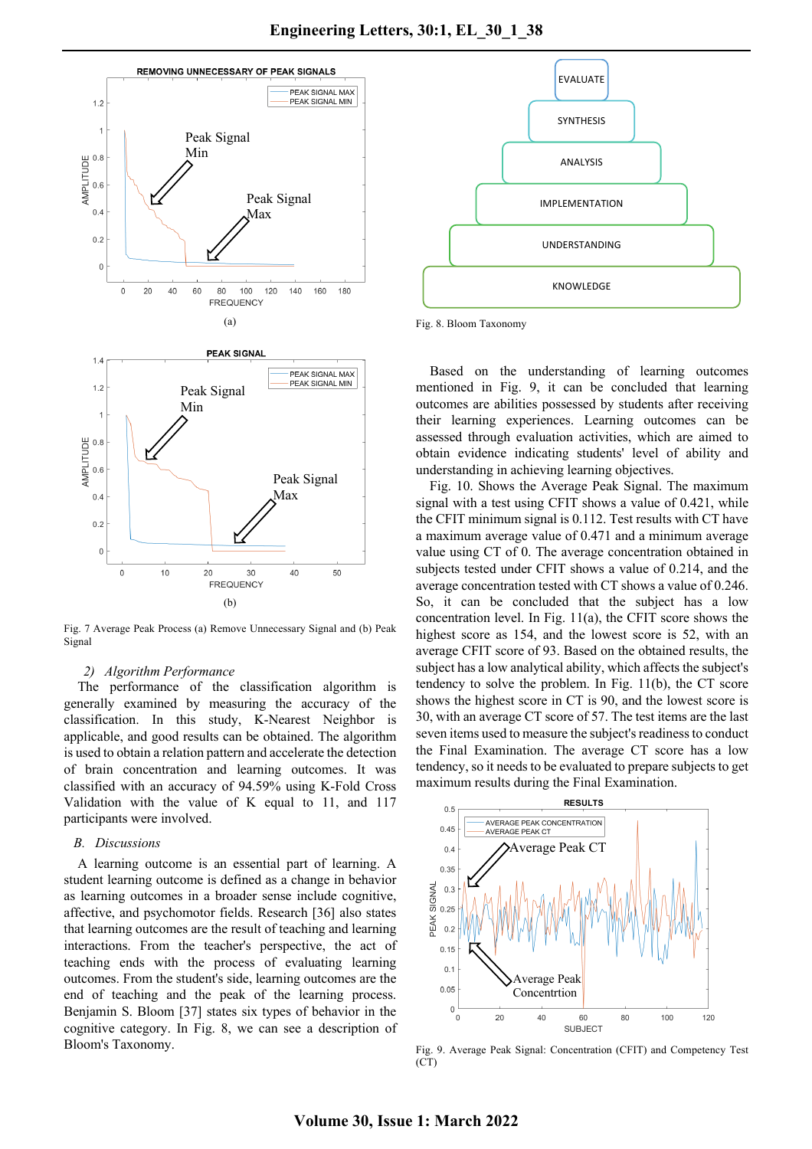

Fig. 7 Average Peak Process (a) Remove Unnecessary Signal and (b) Peak Signal

## *2) Algorithm Performance*

The performance of the classification algorithm is generally examined by measuring the accuracy of the classification. In this study, K-Nearest Neighbor is applicable, and good results can be obtained. The algorithm is used to obtain a relation pattern and accelerate the detection of brain concentration and learning outcomes. It was classified with an accuracy of 94.59% using K-Fold Cross Validation with the value of K equal to 11, and 117 participants were involved.

## *B. Discussions*

A learning outcome is an essential part of learning. A student learning outcome is defined as a change in behavior as learning outcomes in a broader sense include cognitive, affective, and psychomotor fields. Research [36] also states that learning outcomes are the result of teaching and learning interactions. From the teacher's perspective, the act of teaching ends with the process of evaluating learning outcomes. From the student's side, learning outcomes are the end of teaching and the peak of the learning process. Benjamin S. Bloom [37] states six types of behavior in the cognitive category. In Fig. 8, we can see a description of Bloom's Taxonomy.



Fig. 8. Bloom Taxonomy

Based on the understanding of learning outcomes mentioned in Fig. 9, it can be concluded that learning outcomes are abilities possessed by students after receiving their learning experiences. Learning outcomes can be assessed through evaluation activities, which are aimed to obtain evidence indicating students' level of ability and understanding in achieving learning objectives.

Fig. 10. Shows the Average Peak Signal. The maximum signal with a test using CFIT shows a value of 0.421, while the CFIT minimum signal is 0.112. Test results with CT have a maximum average value of 0.471 and a minimum average value using CT of 0. The average concentration obtained in subjects tested under CFIT shows a value of 0.214, and the average concentration tested with CT shows a value of 0.246. So, it can be concluded that the subject has a low concentration level. In Fig. 11(a), the CFIT score shows the highest score as 154, and the lowest score is 52, with an average CFIT score of 93. Based on the obtained results, the subject has a low analytical ability, which affects the subject's tendency to solve the problem. In Fig. 11(b), the CT score shows the highest score in CT is 90, and the lowest score is 30, with an average CT score of 57. The test items are the last seven items used to measure the subject's readiness to conduct the Final Examination. The average CT score has a low tendency, so it needs to be evaluated to prepare subjects to get maximum results during the Final Examination.



Fig. 9. Average Peak Signal: Concentration (CFIT) and Competency Test (CT)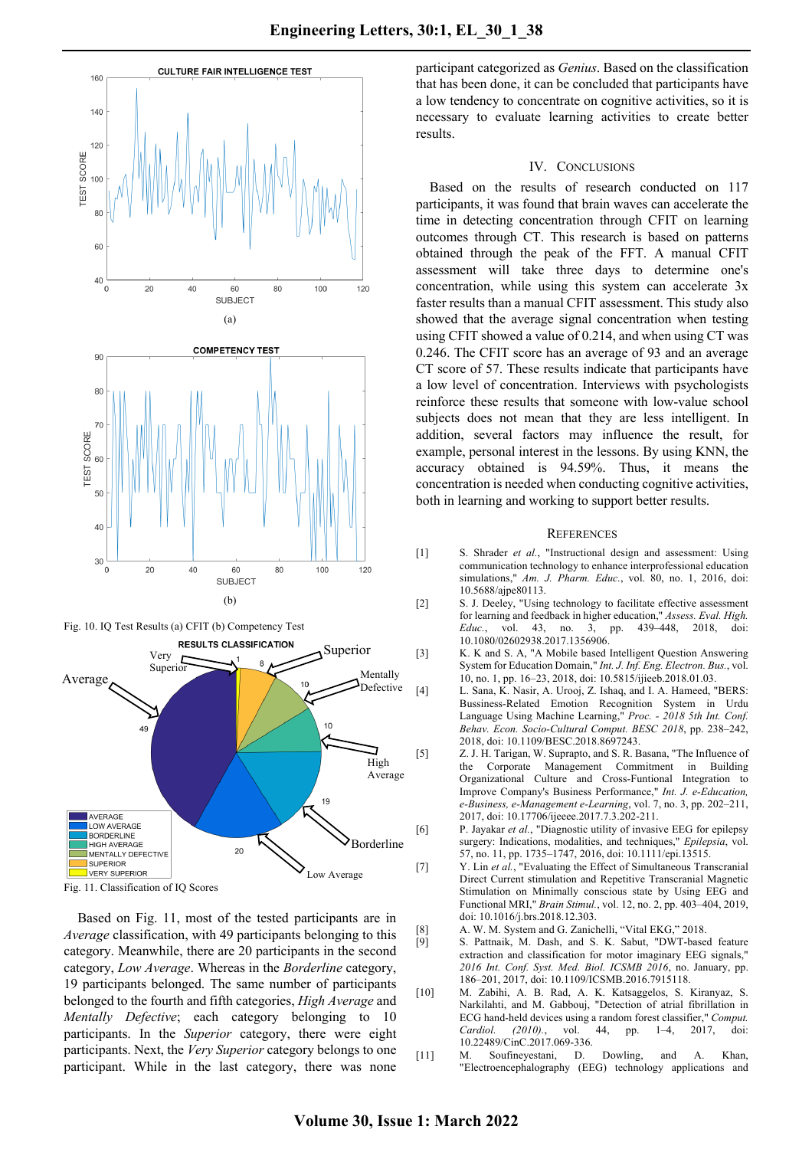

Fig. 10. IQ Test Results (a) CFIT (b) Competency Test



Fig. 11. Classification of IQ Scores

Based on Fig. 11, most of the tested participants are in *Average* classification, with 49 participants belonging to this category. Meanwhile, there are 20 participants in the second category, *Low Average*. Whereas in the *Borderline* category, 19 participants belonged. The same number of participants belonged to the fourth and fifth categories, *High Average* and *Mentally Defective*; each category belonging to 10 participants. In the *Superior* category, there were eight participants. Next, the *Very Superior* category belongs to one participant. While in the last category, there was none

participant categorized as *Genius*. Based on the classification that has been done, it can be concluded that participants have a low tendency to concentrate on cognitive activities, so it is necessary to evaluate learning activities to create better results.

#### IV. CONCLUSIONS

Based on the results of research conducted on 117 participants, it was found that brain waves can accelerate the time in detecting concentration through CFIT on learning outcomes through CT. This research is based on patterns obtained through the peak of the FFT. A manual CFIT assessment will take three days to determine one's concentration, while using this system can accelerate 3x faster results than a manual CFIT assessment. This study also showed that the average signal concentration when testing using CFIT showed a value of 0.214, and when using CT was 0.246. The CFIT score has an average of 93 and an average CT score of 57. These results indicate that participants have a low level of concentration. Interviews with psychologists reinforce these results that someone with low-value school subjects does not mean that they are less intelligent. In addition, several factors may influence the result, for example, personal interest in the lessons. By using KNN, the accuracy obtained is 94.59%. Thus, it means the concentration is needed when conducting cognitive activities, both in learning and working to support better results.

#### **REFERENCES**

- [1] S. Shrader *et al.*, "Instructional design and assessment: Using communication technology to enhance interprofessional education simulations," *Am. J. Pharm. Educ.*, vol. 80, no. 1, 2016, doi: 10.5688/ajpe80113.
- [2] S. J. Deeley, "Using technology to facilitate effective assessment for learning and feedback in higher education," *Assess. Eval. High. Educ.*, vol. 43, no. 3, pp. 439–448, 2018, doi: 10.1080/02602938.2017.1356906.
- [3] K. K and S. A, "A Mobile based Intelligent Question Answering System for Education Domain," *Int. J. Inf. Eng. Electron. Bus.*, vol. 10, no. 1, pp. 16–23, 2018, doi: 10.5815/ijieeb.2018.01.03.
- [4] L. Sana, K. Nasir, A. Urooj, Z. Ishaq, and I. A. Hameed, "BERS: Bussiness-Related Emotion Recognition System in Urdu Language Using Machine Learning," *Proc. - 2018 5th Int. Conf. Behav. Econ. Socio-Cultural Comput. BESC 2018*, pp. 238–242, 2018, doi: 10.1109/BESC.2018.8697243.
- [5] Z. J. H. Tarigan, W. Suprapto, and S. R. Basana, "The Influence of the Corporate Management Commitment in Building Organizational Culture and Cross-Funtional Integration to Improve Company's Business Performance," *Int. J. e-Education, e-Business, e-Management e-Learning*, vol. 7, no. 3, pp. 202–211, 2017, doi: 10.17706/ijeeee.2017.7.3.202-211.
- [6] P. Jayakar *et al.*, "Diagnostic utility of invasive EEG for epilepsy surgery: Indications, modalities, and techniques," *Epilepsia*, vol. 57, no. 11, pp. 1735–1747, 2016, doi: 10.1111/epi.13515.
- [7] Y. Lin *et al.*, "Evaluating the Effect of Simultaneous Transcranial Direct Current stimulation and Repetitive Transcranial Magnetic Stimulation on Minimally conscious state by Using EEG and Functional MRI," *Brain Stimul.*, vol. 12, no. 2, pp. 403–404, 2019, doi: 10.1016/j.brs.2018.12.303.
- [8] A. W. M. System and G. Zanichelli, "Vital EKG," 2018.<br>[9] S. Pattnaik, M. Dash, and S. K. Sabut, "DWT-base
- S. Pattnaik, M. Dash, and S. K. Sabut, "DWT-based feature extraction and classification for motor imaginary EEG signals," *2016 Int. Conf. Syst. Med. Biol. ICSMB 2016*, no. January, pp. 186–201, 2017, doi: 10.1109/ICSMB.2016.7915118.
- [10] M. Zabihi, A. B. Rad, A. K. Katsaggelos, S. Kiranyaz, S. Narkilahti, and M. Gabbouj, "Detection of atrial fibrillation in ECG hand-held devices using a random forest classifier," *Comput. Cardiol. (2010).*, vol. 44, pp. 1–4, 2017, doi: 10.22489/CinC.2017.069-336.
- [11] M. Soufineyestani, D. Dowling, and A. Khan, "Electroencephalography (EEG) technology applications and